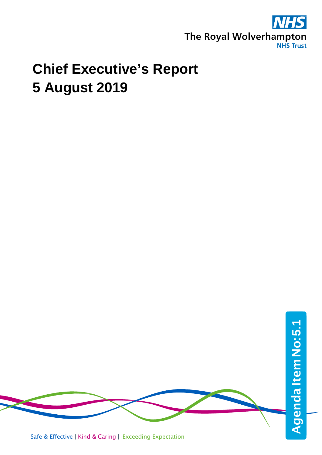

## **Chief Executive's Report 5 August 2019**

Agenda Item No: 5.1 AgendaItemNo:**5.1**Safe & Effective | Kind & Caring | Exceeding Expectation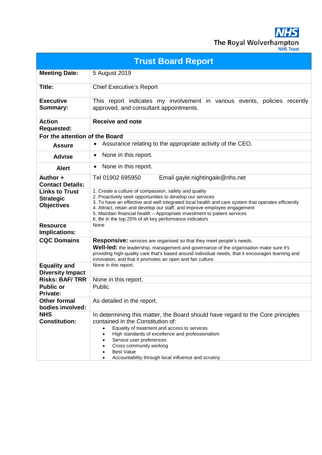**NHS** The Royal Wolverhampton

|  | <b>JHS Trust</b> |  |
|--|------------------|--|
|  |                  |  |
|  |                  |  |

| <b>Trust Board Report</b>                                      |                                                                                                                                                                                                                                                                                                                                                                                                                                              |  |  |  |
|----------------------------------------------------------------|----------------------------------------------------------------------------------------------------------------------------------------------------------------------------------------------------------------------------------------------------------------------------------------------------------------------------------------------------------------------------------------------------------------------------------------------|--|--|--|
| <b>Meeting Date:</b>                                           | 5 August 2019                                                                                                                                                                                                                                                                                                                                                                                                                                |  |  |  |
| Title:                                                         | <b>Chief Executive's Report</b>                                                                                                                                                                                                                                                                                                                                                                                                              |  |  |  |
| <b>Executive</b><br>Summary:                                   | This report indicates my involvement in various events, policies recently<br>approved, and consultant appointments.                                                                                                                                                                                                                                                                                                                          |  |  |  |
| <b>Action</b><br><b>Requested:</b>                             | <b>Receive and note</b>                                                                                                                                                                                                                                                                                                                                                                                                                      |  |  |  |
| For the attention of the Board                                 |                                                                                                                                                                                                                                                                                                                                                                                                                                              |  |  |  |
| <b>Assure</b>                                                  | Assurance relating to the appropriate activity of the CEO.<br>$\bullet$                                                                                                                                                                                                                                                                                                                                                                      |  |  |  |
| <b>Advise</b>                                                  | None in this report.<br>$\bullet$                                                                                                                                                                                                                                                                                                                                                                                                            |  |  |  |
| <b>Alert</b>                                                   | None in this report.<br>$\bullet$                                                                                                                                                                                                                                                                                                                                                                                                            |  |  |  |
| Author +<br><b>Contact Details:</b>                            | Tel 01902 695950<br>Email gayle.nightingale@nhs.net                                                                                                                                                                                                                                                                                                                                                                                          |  |  |  |
| <b>Links to Trust</b><br><b>Strategic</b><br><b>Objectives</b> | 1. Create a culture of compassion, safety and quality<br>2. Proactively seek opportunities to develop our services<br>3. To have an effective and well integrated local health and care system that operates efficiently<br>4. Attract, retain and develop our staff, and improve employee engagement<br>5. Maintain financial health - Appropriate investment to patient services<br>6. Be in the top 25% of all key performance indicators |  |  |  |
| <b>Resource</b><br>Implications:                               | None                                                                                                                                                                                                                                                                                                                                                                                                                                         |  |  |  |
| <b>CQC Domains</b>                                             | <b>Responsive:</b> services are organised so that they meet people's needs.<br><b>Well-led:</b> the leadership, management and governance of the organisation make sure it's<br>providing high-quality care that's based around individual needs, that it encourages learning and<br>innovation, and that it promotes an open and fair culture.                                                                                              |  |  |  |
| <b>Equality and</b><br><b>Diversity Impact</b>                 | None in this report.                                                                                                                                                                                                                                                                                                                                                                                                                         |  |  |  |
| <b>Risks: BAF/TRR</b>                                          | None in this report.                                                                                                                                                                                                                                                                                                                                                                                                                         |  |  |  |
| <b>Public or</b><br><b>Private:</b>                            | Public                                                                                                                                                                                                                                                                                                                                                                                                                                       |  |  |  |
| <b>Other formal</b><br>bodies involved:                        | As detailed in the report.                                                                                                                                                                                                                                                                                                                                                                                                                   |  |  |  |
| <b>NHS</b><br><b>Constitution:</b>                             | In determining this matter, the Board should have regard to the Core principles<br>contained in the Constitution of:<br>Equality of treatment and access to services<br>High standards of excellence and professionalism<br>$\bullet$<br>Service user preferences<br>Cross community working<br><b>Best Value</b><br>Accountability through local influence and scrutiny                                                                     |  |  |  |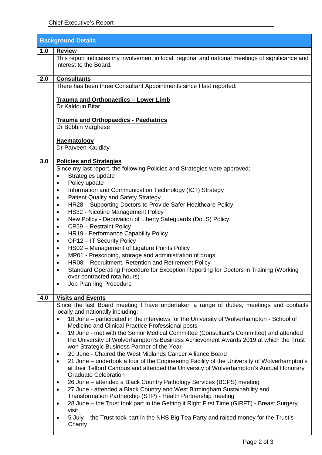| <b>Background Details</b> |                                                                                                                             |  |
|---------------------------|-----------------------------------------------------------------------------------------------------------------------------|--|
| 1.0                       | <b>Review</b>                                                                                                               |  |
|                           | This report indicates my involvement in local, regional and national meetings of significance and<br>interest to the Board. |  |
| 2.0                       | <b>Consultants</b>                                                                                                          |  |
|                           | There has been three Consultant Appointments since I last reported:                                                         |  |
|                           |                                                                                                                             |  |
|                           | Trauma and Orthopaedics - Lower Limb                                                                                        |  |
|                           | Dr Kaldoun Bitar                                                                                                            |  |
|                           | <b>Trauma and Orthopaedics - Paediatrics</b>                                                                                |  |
|                           | Dr Bobbin Varghese                                                                                                          |  |
|                           |                                                                                                                             |  |
|                           | <b>Haematology</b>                                                                                                          |  |
|                           | Dr Parveen Kaudlay                                                                                                          |  |
| 3.0                       | <b>Policies and Strategies</b>                                                                                              |  |
|                           | Since my last report, the following Policies and Strategies were approved;                                                  |  |
|                           | Strategies update<br>$\bullet$                                                                                              |  |
|                           | Policy update<br>$\bullet$                                                                                                  |  |
|                           | Information and Communication Technology (ICT) Strategy<br>$\bullet$                                                        |  |
|                           | <b>Patient Quality and Safety Strategy</b><br>$\bullet$                                                                     |  |
|                           | HR28 - Supporting Doctors to Provide Safer Healthcare Policy<br>$\bullet$                                                   |  |
|                           | HS32 - Nicotine Management Policy<br>$\bullet$                                                                              |  |
|                           | New Policy - Deprivation of Liberty Safeguards (DoLS) Policy<br>$\bullet$                                                   |  |
|                           | CP59 - Restraint Policy<br>$\bullet$                                                                                        |  |
|                           | HR19 - Performance Capability Policy<br>٠                                                                                   |  |
|                           | OP12 - IT Security Policy<br>$\bullet$<br>HS02 - Management of Ligature Points Policy                                       |  |
|                           | $\bullet$<br>MP01 - Prescribing, storage and administration of drugs<br>$\bullet$                                           |  |
|                           | HR08 - Recruitment, Retention and Retirement Policy<br>$\bullet$                                                            |  |
|                           | Standard Operating Procedure for Exception Reporting for Doctors in Training (Working<br>$\bullet$                          |  |
|                           | over contracted rota hours)                                                                                                 |  |
|                           | <b>Job Planning Procedure</b><br>$\bullet$                                                                                  |  |
|                           |                                                                                                                             |  |
| 4.0                       | <b>Visits and Events</b><br>Since the last Board meeting I have undertaken a range of duties, meetings and contacts         |  |
|                           | locally and nationally including:                                                                                           |  |
|                           | 18 June – participated in the interviews for the University of Wolverhampton - School of                                    |  |
|                           | Medicine and Clinical Practice Professional posts                                                                           |  |
|                           | 19 June - met with the Senior Medical Committee (Consultant's Committee) and attended<br>$\bullet$                          |  |
|                           | the University of Wolverhampton's Business Achievement Awards 2019 at which the Trust                                       |  |
|                           | won Strategic Business Partner of the Year                                                                                  |  |
|                           | 20 June - Chaired the West Midlands Cancer Alliance Board<br>$\bullet$                                                      |  |
|                           | 21 June – undertook a tour of the Engineering Facility of the University of Wolverhampton's<br>$\bullet$                    |  |
|                           | at their Telford Campus and attended the University of Wolverhampton's Annual Honorary<br><b>Graduate Celebration</b>       |  |
|                           | 26 June – attended a Black Country Pathology Services (BCPS) meeting<br>$\bullet$                                           |  |
|                           | 27 June - attended a Black Country and West Birmingham Sustainability and<br>$\bullet$                                      |  |
|                           | Transformation Partnership (STP) - Health Partnership meeting                                                               |  |
|                           | 28 June – the Trust took part in the Getting it Right First Time (GIRFT) - Breast Surgery<br>$\bullet$                      |  |
|                           | visit                                                                                                                       |  |
|                           | 5 July – the Trust took part in the NHS Big Tea Party and raised money for the Trust's                                      |  |
|                           | Charity                                                                                                                     |  |
|                           |                                                                                                                             |  |